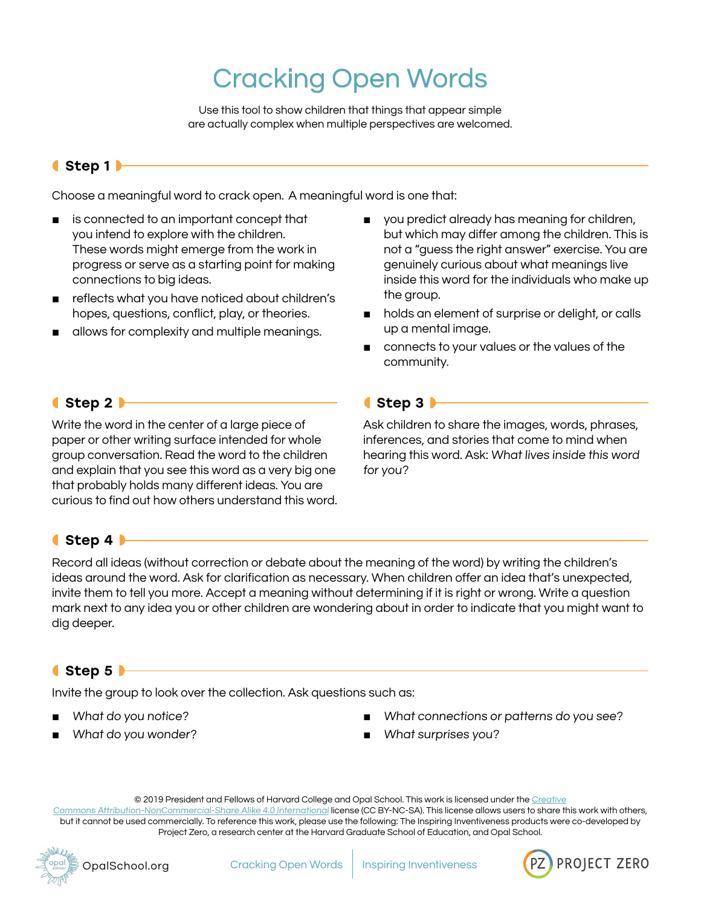# Cracking Open Words

Use this tool to show children that things that appear simple are actually complex when multiple perspectives are welcomed.

# ◖Step 1◗

Choose a meaningful word to crack open. A meaningful word is one that:

- is connected to an important concept that you intend to explore with the children. These words might emerge from the work in progress or serve as a starting point for making connections to big ideas.
- reflects what you have noticed about children's hopes, questions, conflict, play, or theories.
- allows for complexity and multiple meanings.
- you predict already has meaning for children, but which may differ among the children. This is not a "guess the right answer" exercise. You are genuinely curious about what meanings live inside this word for the individuals who make up the group.
- holds an element of surprise or delight, or calls up a mental image.
- connects to your values or the values of the community.

Ask children to share the images, words, phrases, inferences, and stories that come to mind when hearing this word. Ask: What lives inside this word

#### ◖Step 2◗

Write the word in the center of a large piece of paper or other writing surface intended for whole group conversation. Read the word to the children and explain that you see this word as a very big one that probably holds many different ideas. You are curious to find out how others understand this word.

## ◖Step 4◗

Record all ideas (without correction or debate about the meaning of the word) by writing the children's ideas around the word. Ask for clarification as necessary. When children offer an idea that's unexpected, invite them to tell you more. Accept a meaning without determining if it is right or wrong. Write a question mark next to any idea you or other children are wondering about in order to indicate that you might want to dig deeper.

◖Step 3◗

for you?

#### $\bullet$  Step 5

Invite the group to look over the collection. Ask questions such as:

- What do you notice?
- What do you wonder?
- What connections or patterns do you see?
- What surprises you?

© 2019 President and Fellows of Harvard College and Opal School. This work is licensed under the [Creative](https://creativecommons.org/licenses/by-nc-sa/4.0/)

[Commons Attribution-NonCommercial-Share Alike 4.0 International](https://creativecommons.org/licenses/by-nc-sa/4.0/) license (CC BY-NC-SA). This license allows users to share this work with others, but it cannot be used commercially. To reference this work, please use the following: The Inspiring Inventiveness products were co-developed by Project Zero, a research center at the Harvard Graduate School of Education, and Opal School.